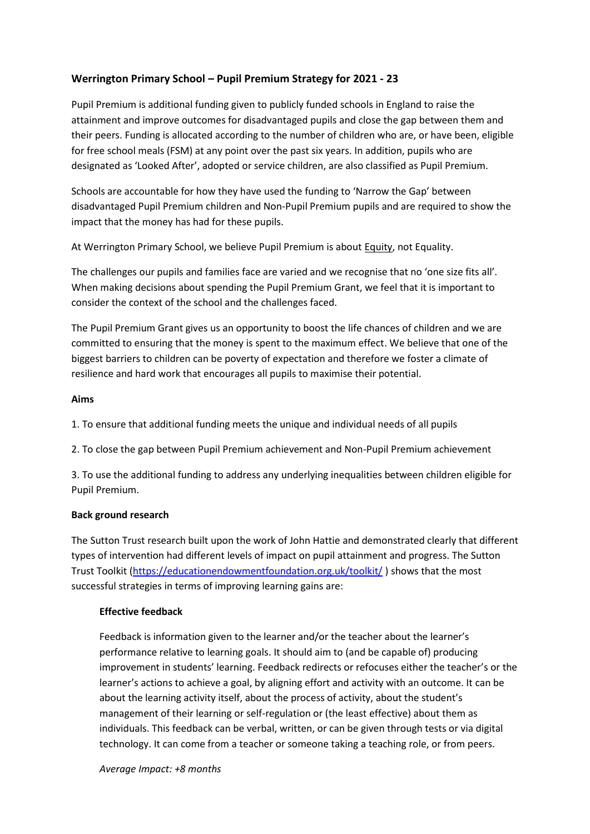## **Werrington Primary School – Pupil Premium Strategy for 2021 - 23**

Pupil Premium is additional funding given to publicly funded schools in England to raise the attainment and improve outcomes for disadvantaged pupils and close the gap between them and their peers. Funding is allocated according to the number of children who are, or have been, eligible for free school meals (FSM) at any point over the past six years. In addition, pupils who are designated as 'Looked After', adopted or service children, are also classified as Pupil Premium.

Schools are accountable for how they have used the funding to 'Narrow the Gap' between disadvantaged Pupil Premium children and Non-Pupil Premium pupils and are required to show the impact that the money has had for these pupils.

At Werrington Primary School, we believe Pupil Premium is about Equity, not Equality.

The challenges our pupils and families face are varied and we recognise that no 'one size fits all'. When making decisions about spending the Pupil Premium Grant, we feel that it is important to consider the context of the school and the challenges faced.

The Pupil Premium Grant gives us an opportunity to boost the life chances of children and we are committed to ensuring that the money is spent to the maximum effect. We believe that one of the biggest barriers to children can be poverty of expectation and therefore we foster a climate of resilience and hard work that encourages all pupils to maximise their potential.

#### **Aims**

1. To ensure that additional funding meets the unique and individual needs of all pupils

2. To close the gap between Pupil Premium achievement and Non-Pupil Premium achievement

3. To use the additional funding to address any underlying inequalities between children eligible for Pupil Premium.

#### **Back ground research**

The Sutton Trust research built upon the work of John Hattie and demonstrated clearly that different types of intervention had different levels of impact on pupil attainment and progress. The Sutton Trust Toolkit [\(https://educationendowmentfoundation.org.uk/toolkit/](https://educationendowmentfoundation.org.uk/toolkit/)) shows that the most successful strategies in terms of improving learning gains are:

## **Effective feedback**

Feedback is information given to the learner and/or the teacher about the learner's performance relative to learning goals. It should aim to (and be capable of) producing improvement in students' learning. Feedback redirects or refocuses either the teacher's or the learner's actions to achieve a goal, by aligning effort and activity with an outcome. It can be about the learning activity itself, about the process of activity, about the student's management of their learning or self-regulation or (the least effective) about them as individuals. This feedback can be verbal, written, or can be given through tests or via digital technology. It can come from a teacher or someone taking a teaching role, or from peers.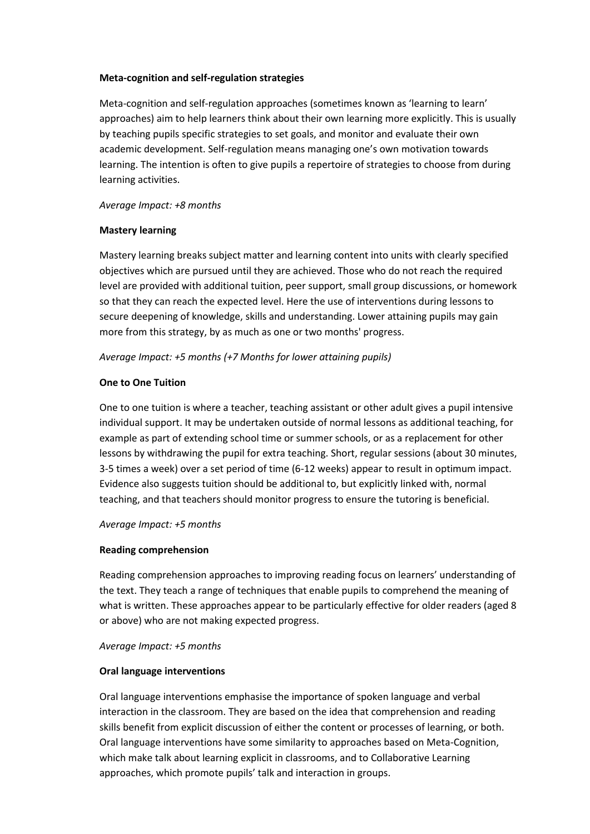#### **Meta-cognition and self-regulation strategies**

Meta-cognition and self-regulation approaches (sometimes known as 'learning to learn' approaches) aim to help learners think about their own learning more explicitly. This is usually by teaching pupils specific strategies to set goals, and monitor and evaluate their own academic development. Self-regulation means managing one's own motivation towards learning. The intention is often to give pupils a repertoire of strategies to choose from during learning activities.

#### *Average Impact: +8 months*

#### **Mastery learning**

Mastery learning breaks subject matter and learning content into units with clearly specified objectives which are pursued until they are achieved. Those who do not reach the required level are provided with additional tuition, peer support, small group discussions, or homework so that they can reach the expected level. Here the use of interventions during lessons to secure deepening of knowledge, skills and understanding. Lower attaining pupils may gain more from this strategy, by as much as one or two months' progress.

#### *Average Impact: +5 months (+7 Months for lower attaining pupils)*

#### **One to One Tuition**

One to one tuition is where a teacher, teaching assistant or other adult gives a pupil intensive individual support. It may be undertaken outside of normal lessons as additional teaching, for example as part of extending school time or summer schools, or as a replacement for other lessons by withdrawing the pupil for extra teaching. Short, regular sessions (about 30 minutes, 3-5 times a week) over a set period of time (6-12 weeks) appear to result in optimum impact. Evidence also suggests tuition should be additional to, but explicitly linked with, normal teaching, and that teachers should monitor progress to ensure the tutoring is beneficial.

*Average Impact: +5 months* 

#### **Reading comprehension**

Reading comprehension approaches to improving reading focus on learners' understanding of the text. They teach a range of techniques that enable pupils to comprehend the meaning of what is written. These approaches appear to be particularly effective for older readers (aged 8 or above) who are not making expected progress.

*Average Impact: +5 months*

#### **Oral language interventions**

Oral language interventions emphasise the importance of spoken language and verbal interaction in the classroom. They are based on the idea that comprehension and reading skills benefit from explicit discussion of either the content or processes of learning, or both. Oral language interventions have some similarity to approaches based on Meta-Cognition, which make talk about learning explicit in classrooms, and to Collaborative Learning approaches, which promote pupils' talk and interaction in groups.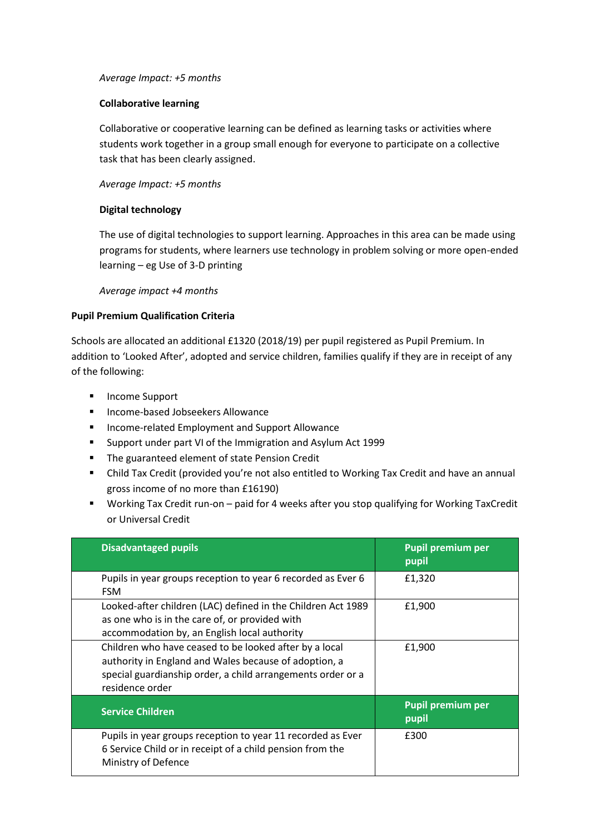#### *Average Impact: +5 months*

### **Collaborative learning**

Collaborative or cooperative learning can be defined as learning tasks or activities where students work together in a group small enough for everyone to participate on a collective task that has been clearly assigned.

### *Average Impact: +5 months*

### **Digital technology**

The use of digital technologies to support learning. Approaches in this area can be made using programs for students, where learners use technology in problem solving or more open-ended learning – eg Use of 3-D printing

*Average impact +4 months*

### **Pupil Premium Qualification Criteria**

Schools are allocated an additional £1320 (2018/19) per pupil registered as Pupil Premium. In addition to 'Looked After', adopted and service children, families qualify if they are in receipt of any of the following:

- **Income Support**
- **Income-based Jobseekers Allowance**
- **Income-related Employment and Support Allowance**
- Support under part VI of the Immigration and Asylum Act 1999
- **The guaranteed element of state Pension Credit**
- Child Tax Credit (provided you're not also entitled to Working Tax Credit and have an annual gross income of no more than £16190)
- Working Tax Credit run-on paid for 4 weeks after you stop qualifying for Working TaxCredit or Universal Credit

| <b>Disadvantaged pupils</b>                                                                                                                                                                       | <b>Pupil premium per</b><br>pupil |
|---------------------------------------------------------------------------------------------------------------------------------------------------------------------------------------------------|-----------------------------------|
| Pupils in year groups reception to year 6 recorded as Ever 6<br><b>FSM</b>                                                                                                                        | £1,320                            |
| Looked-after children (LAC) defined in the Children Act 1989<br>as one who is in the care of, or provided with<br>accommodation by, an English local authority                                    | £1,900                            |
| Children who have ceased to be looked after by a local<br>authority in England and Wales because of adoption, a<br>special guardianship order, a child arrangements order or a<br>residence order | £1,900                            |
| <b>Service Children</b>                                                                                                                                                                           | <b>Pupil premium per</b><br>pupil |
| Pupils in year groups reception to year 11 recorded as Ever<br>6 Service Child or in receipt of a child pension from the<br>Ministry of Defence                                                   | £300                              |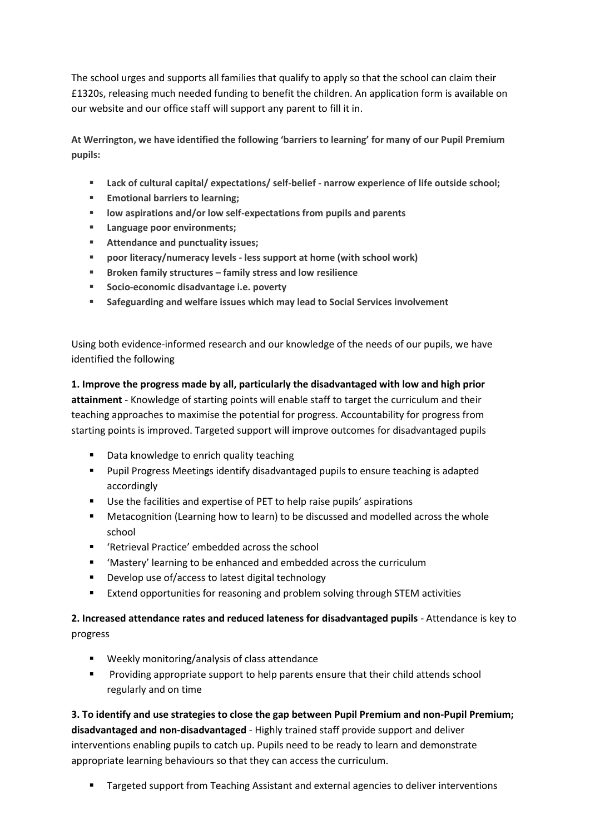The school urges and supports all families that qualify to apply so that the school can claim their £1320s, releasing much needed funding to benefit the children. An application form is available on our website and our office staff will support any parent to fill it in.

**At Werrington, we have identified the following 'barriers to learning' for many of our Pupil Premium pupils:**

- **Lack of cultural capital/ expectations/ self-belief - narrow experience of life outside school;**
- **Emotional barriers to learning:**
- **low aspirations and/or low self-expectations from pupils and parents**
- **Language poor environments;**
- **Attendance and punctuality issues;**
- **poor literacy/numeracy levels - less support at home (with school work)**
- **Broken family structures – family stress and low resilience**
- **Socio-economic disadvantage i.e. poverty**
- **Safeguarding and welfare issues which may lead to Social Services involvement**

Using both evidence-informed research and our knowledge of the needs of our pupils, we have identified the following

**1. Improve the progress made by all, particularly the disadvantaged with low and high prior attainment** - Knowledge of starting points will enable staff to target the curriculum and their teaching approaches to maximise the potential for progress. Accountability for progress from starting points is improved. Targeted support will improve outcomes for disadvantaged pupils

- Data knowledge to enrich quality teaching
- **Pupil Progress Meetings identify disadvantaged pupils to ensure teaching is adapted** accordingly
- Use the facilities and expertise of PET to help raise pupils' aspirations
- Metacognition (Learning how to learn) to be discussed and modelled across the whole school
- 'Retrieval Practice' embedded across the school
- 'Mastery' learning to be enhanced and embedded across the curriculum
- **•** Develop use of/access to latest digital technology
- **Extend opportunities for reasoning and problem solving through STEM activities**

# **2. Increased attendance rates and reduced lateness for disadvantaged pupils** - Attendance is key to progress

- Weekly monitoring/analysis of class attendance
- Providing appropriate support to help parents ensure that their child attends school regularly and on time

**3. To identify and use strategies to close the gap between Pupil Premium and non-Pupil Premium; disadvantaged and non-disadvantaged** - Highly trained staff provide support and deliver interventions enabling pupils to catch up. Pupils need to be ready to learn and demonstrate appropriate learning behaviours so that they can access the curriculum.

**Targeted support from Teaching Assistant and external agencies to deliver interventions**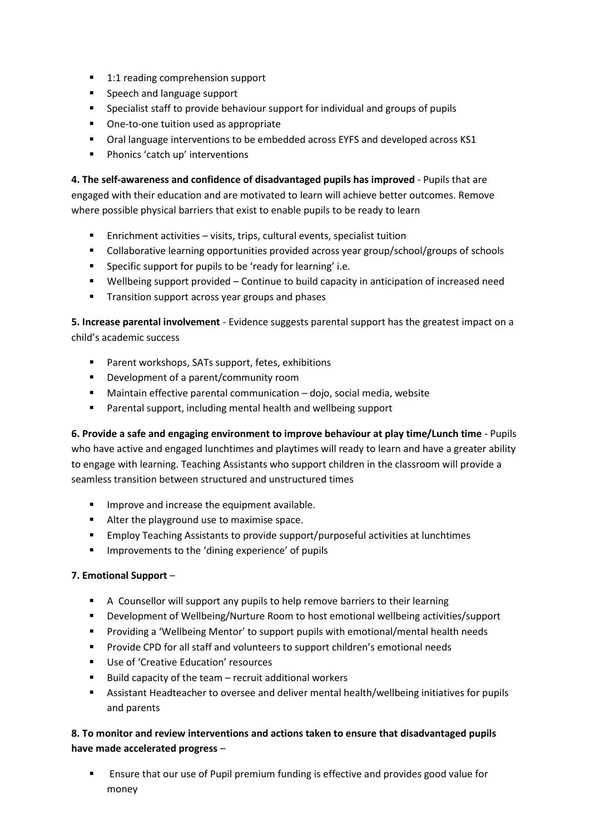- 1:1 reading comprehension support
- **Speech and language support**
- **Specialist staff to provide behaviour support for individual and groups of pupils**
- **•** One-to-one tuition used as appropriate
- Oral language interventions to be embedded across EYFS and developed across KS1
- **Phonics 'catch up' interventions**

**4. The self-awareness and confidence of disadvantaged pupils has improved** - Pupils that are engaged with their education and are motivated to learn will achieve better outcomes. Remove where possible physical barriers that exist to enable pupils to be ready to learn

- Enrichment activities visits, trips, cultural events, specialist tuition
- Collaborative learning opportunities provided across year group/school/groups of schools
- Specific support for pupils to be 'ready for learning' i.e.
- Wellbeing support provided Continue to build capacity in anticipation of increased need
- **Transition support across year groups and phases**

**5. Increase parental involvement** - Evidence suggests parental support has the greatest impact on a child's academic success

- **Parent workshops, SATs support, fetes, exhibitions**
- **Development of a parent/community room**
- Maintain effective parental communication dojo, social media, website
- Parental support, including mental health and wellbeing support

**6. Provide a safe and engaging environment to improve behaviour at play time/Lunch time** - Pupils who have active and engaged lunchtimes and playtimes will ready to learn and have a greater ability to engage with learning. Teaching Assistants who support children in the classroom will provide a seamless transition between structured and unstructured times

- **IMPROVE and increase the equipment available.**
- Alter the playground use to maximise space.
- Employ Teaching Assistants to provide support/purposeful activities at lunchtimes
- **IMPROVEMENTS TO the 'dining experience' of pupils**

## **7. Emotional Support** –

- A Counsellor will support any pupils to help remove barriers to their learning
- Development of Wellbeing/Nurture Room to host emotional wellbeing activities/support
- Providing a 'Wellbeing Mentor' to support pupils with emotional/mental health needs
- **Provide CPD for all staff and volunteers to support children's emotional needs**
- Use of 'Creative Education' resources
- $\blacksquare$  Build capacity of the team recruit additional workers
- Assistant Headteacher to oversee and deliver mental health/wellbeing initiatives for pupils and parents

# **8. To monitor and review interventions and actions taken to ensure that disadvantaged pupils have made accelerated progress** –

 Ensure that our use of Pupil premium funding is effective and provides good value for money